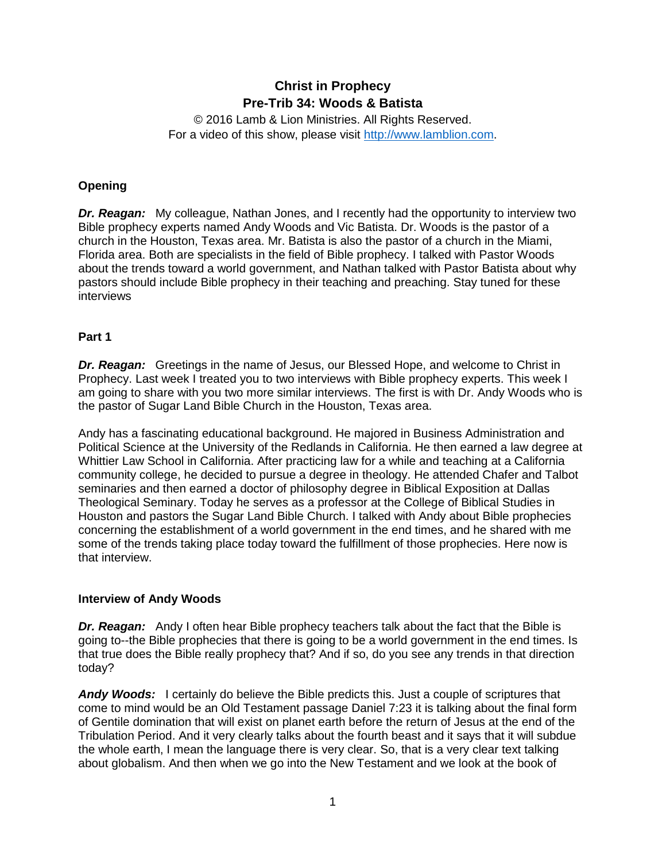# **Christ in Prophecy Pre-Trib 34: Woods & Batista**

© 2016 Lamb & Lion Ministries. All Rights Reserved. For a video of this show, please visit [http://www.lamblion.com.](http://www.lamblion.com/)

## **Opening**

*Dr. Reagan:* My colleague, Nathan Jones, and I recently had the opportunity to interview two Bible prophecy experts named Andy Woods and Vic Batista. Dr. Woods is the pastor of a church in the Houston, Texas area. Mr. Batista is also the pastor of a church in the Miami, Florida area. Both are specialists in the field of Bible prophecy. I talked with Pastor Woods about the trends toward a world government, and Nathan talked with Pastor Batista about why pastors should include Bible prophecy in their teaching and preaching. Stay tuned for these interviews

## **Part 1**

*Dr. Reagan:* Greetings in the name of Jesus, our Blessed Hope, and welcome to Christ in Prophecy. Last week I treated you to two interviews with Bible prophecy experts. This week I am going to share with you two more similar interviews. The first is with Dr. Andy Woods who is the pastor of Sugar Land Bible Church in the Houston, Texas area.

Andy has a fascinating educational background. He majored in Business Administration and Political Science at the University of the Redlands in California. He then earned a law degree at Whittier Law School in California. After practicing law for a while and teaching at a California community college, he decided to pursue a degree in theology. He attended Chafer and Talbot seminaries and then earned a doctor of philosophy degree in Biblical Exposition at Dallas Theological Seminary. Today he serves as a professor at the College of Biblical Studies in Houston and pastors the Sugar Land Bible Church. I talked with Andy about Bible prophecies concerning the establishment of a world government in the end times, and he shared with me some of the trends taking place today toward the fulfillment of those prophecies. Here now is that interview.

## **Interview of Andy Woods**

*Dr. Reagan:* Andy I often hear Bible prophecy teachers talk about the fact that the Bible is going to--the Bible prophecies that there is going to be a world government in the end times. Is that true does the Bible really prophecy that? And if so, do you see any trends in that direction today?

Andy Woods: I certainly do believe the Bible predicts this. Just a couple of scriptures that come to mind would be an Old Testament passage Daniel 7:23 it is talking about the final form of Gentile domination that will exist on planet earth before the return of Jesus at the end of the Tribulation Period. And it very clearly talks about the fourth beast and it says that it will subdue the whole earth, I mean the language there is very clear. So, that is a very clear text talking about globalism. And then when we go into the New Testament and we look at the book of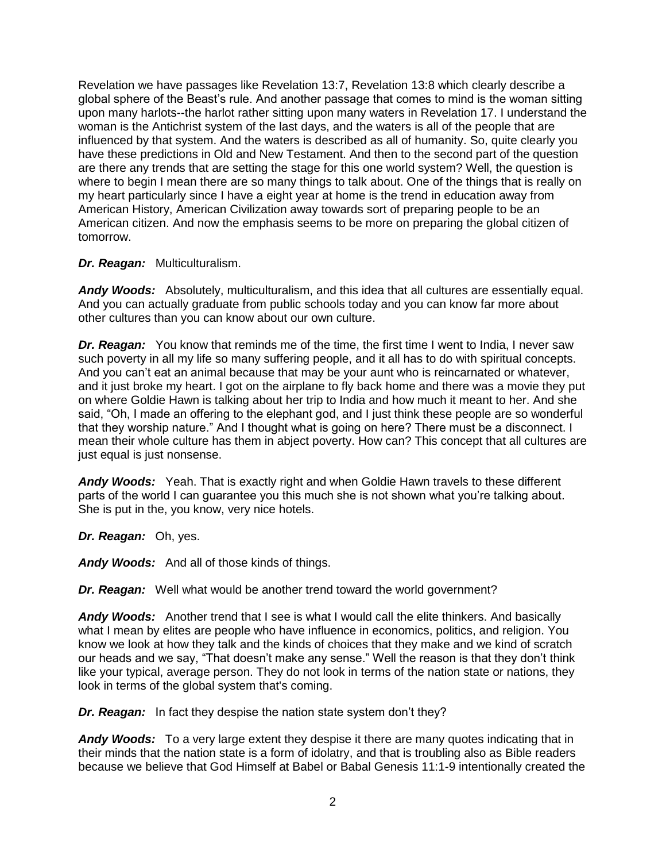Revelation we have passages like Revelation 13:7, Revelation 13:8 which clearly describe a global sphere of the Beast's rule. And another passage that comes to mind is the woman sitting upon many harlots--the harlot rather sitting upon many waters in Revelation 17. I understand the woman is the Antichrist system of the last days, and the waters is all of the people that are influenced by that system. And the waters is described as all of humanity. So, quite clearly you have these predictions in Old and New Testament. And then to the second part of the question are there any trends that are setting the stage for this one world system? Well, the question is where to begin I mean there are so many things to talk about. One of the things that is really on my heart particularly since I have a eight year at home is the trend in education away from American History, American Civilization away towards sort of preparing people to be an American citizen. And now the emphasis seems to be more on preparing the global citizen of tomorrow.

## *Dr. Reagan:* Multiculturalism.

*Andy Woods:* Absolutely, multiculturalism, and this idea that all cultures are essentially equal. And you can actually graduate from public schools today and you can know far more about other cultures than you can know about our own culture.

*Dr. Reagan:* You know that reminds me of the time, the first time I went to India, I never saw such poverty in all my life so many suffering people, and it all has to do with spiritual concepts. And you can't eat an animal because that may be your aunt who is reincarnated or whatever, and it just broke my heart. I got on the airplane to fly back home and there was a movie they put on where Goldie Hawn is talking about her trip to India and how much it meant to her. And she said, "Oh, I made an offering to the elephant god, and I just think these people are so wonderful that they worship nature." And I thought what is going on here? There must be a disconnect. I mean their whole culture has them in abject poverty. How can? This concept that all cultures are just equal is just nonsense.

*Andy Woods:* Yeah. That is exactly right and when Goldie Hawn travels to these different parts of the world I can guarantee you this much she is not shown what you're talking about. She is put in the, you know, very nice hotels.

*Dr. Reagan:* Oh, yes.

*Andy Woods:* And all of those kinds of things.

*Dr. Reagan:* Well what would be another trend toward the world government?

*Andy Woods:* Another trend that I see is what I would call the elite thinkers. And basically what I mean by elites are people who have influence in economics, politics, and religion. You know we look at how they talk and the kinds of choices that they make and we kind of scratch our heads and we say, "That doesn't make any sense." Well the reason is that they don't think like your typical, average person. They do not look in terms of the nation state or nations, they look in terms of the global system that's coming.

*Dr. Reagan:* In fact they despise the nation state system don't they?

*Andy Woods:* To a very large extent they despise it there are many quotes indicating that in their minds that the nation state is a form of idolatry, and that is troubling also as Bible readers because we believe that God Himself at Babel or Babal Genesis 11:1-9 intentionally created the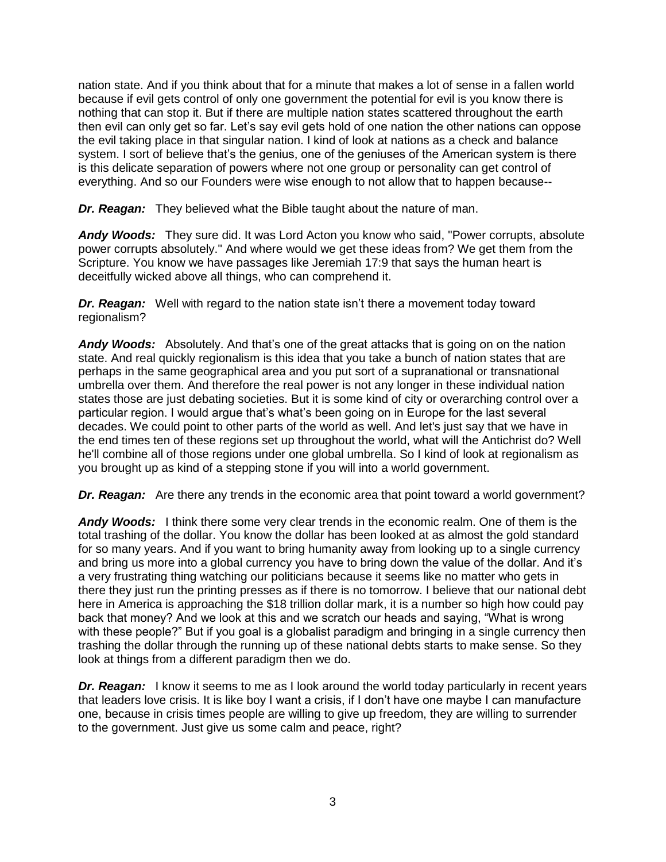nation state. And if you think about that for a minute that makes a lot of sense in a fallen world because if evil gets control of only one government the potential for evil is you know there is nothing that can stop it. But if there are multiple nation states scattered throughout the earth then evil can only get so far. Let's say evil gets hold of one nation the other nations can oppose the evil taking place in that singular nation. I kind of look at nations as a check and balance system. I sort of believe that's the genius, one of the geniuses of the American system is there is this delicate separation of powers where not one group or personality can get control of everything. And so our Founders were wise enough to not allow that to happen because--

*Dr. Reagan:* They believed what the Bible taught about the nature of man.

*Andy Woods:* They sure did. It was Lord Acton you know who said, "Power corrupts, absolute power corrupts absolutely." And where would we get these ideas from? We get them from the Scripture. You know we have passages like Jeremiah 17:9 that says the human heart is deceitfully wicked above all things, who can comprehend it.

*Dr. Reagan:* Well with regard to the nation state isn't there a movement today toward regionalism?

*Andy Woods:* Absolutely. And that's one of the great attacks that is going on on the nation state. And real quickly regionalism is this idea that you take a bunch of nation states that are perhaps in the same geographical area and you put sort of a supranational or transnational umbrella over them. And therefore the real power is not any longer in these individual nation states those are just debating societies. But it is some kind of city or overarching control over a particular region. I would argue that's what's been going on in Europe for the last several decades. We could point to other parts of the world as well. And let's just say that we have in the end times ten of these regions set up throughout the world, what will the Antichrist do? Well he'll combine all of those regions under one global umbrella. So I kind of look at regionalism as you brought up as kind of a stepping stone if you will into a world government.

*Dr. Reagan:* Are there any trends in the economic area that point toward a world government?

*Andy Woods:* I think there some very clear trends in the economic realm. One of them is the total trashing of the dollar. You know the dollar has been looked at as almost the gold standard for so many years. And if you want to bring humanity away from looking up to a single currency and bring us more into a global currency you have to bring down the value of the dollar. And it's a very frustrating thing watching our politicians because it seems like no matter who gets in there they just run the printing presses as if there is no tomorrow. I believe that our national debt here in America is approaching the \$18 trillion dollar mark, it is a number so high how could pay back that money? And we look at this and we scratch our heads and saying, "What is wrong with these people?" But if you goal is a globalist paradigm and bringing in a single currency then trashing the dollar through the running up of these national debts starts to make sense. So they look at things from a different paradigm then we do.

*Dr. Reagan:* I know it seems to me as I look around the world today particularly in recent years that leaders love crisis. It is like boy I want a crisis, if I don't have one maybe I can manufacture one, because in crisis times people are willing to give up freedom, they are willing to surrender to the government. Just give us some calm and peace, right?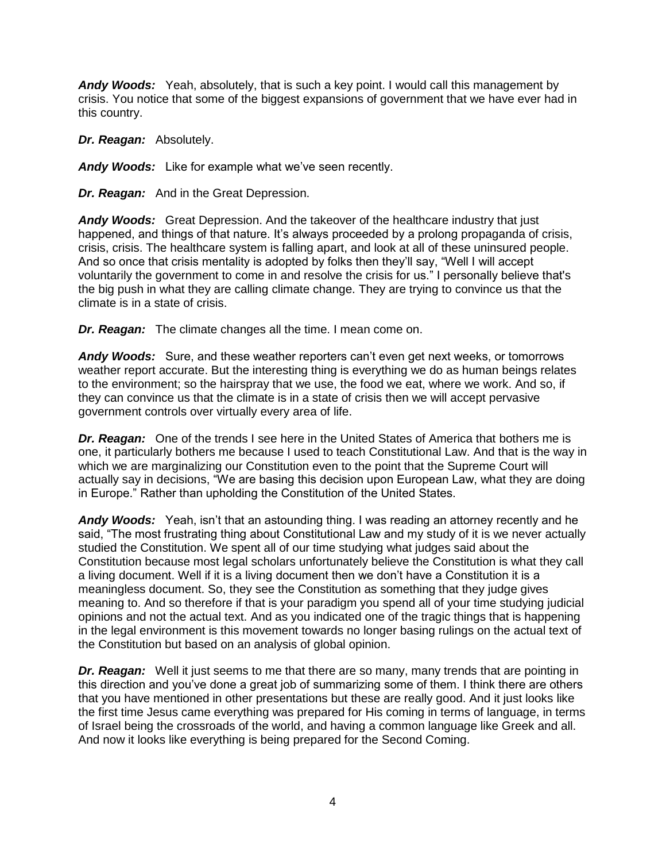*Andy Woods:* Yeah, absolutely, that is such a key point. I would call this management by crisis. You notice that some of the biggest expansions of government that we have ever had in this country.

*Dr. Reagan:* Absolutely.

*Andy Woods:* Like for example what we've seen recently.

*Dr. Reagan:* And in the Great Depression.

*Andy Woods:* Great Depression. And the takeover of the healthcare industry that just happened, and things of that nature. It's always proceeded by a prolong propaganda of crisis, crisis, crisis. The healthcare system is falling apart, and look at all of these uninsured people. And so once that crisis mentality is adopted by folks then they'll say, "Well I will accept voluntarily the government to come in and resolve the crisis for us." I personally believe that's the big push in what they are calling climate change. They are trying to convince us that the climate is in a state of crisis.

*Dr. Reagan:* The climate changes all the time. I mean come on.

*Andy Woods:* Sure, and these weather reporters can't even get next weeks, or tomorrows weather report accurate. But the interesting thing is everything we do as human beings relates to the environment; so the hairspray that we use, the food we eat, where we work. And so, if they can convince us that the climate is in a state of crisis then we will accept pervasive government controls over virtually every area of life.

*Dr. Reagan:* One of the trends I see here in the United States of America that bothers me is one, it particularly bothers me because I used to teach Constitutional Law. And that is the way in which we are marginalizing our Constitution even to the point that the Supreme Court will actually say in decisions, "We are basing this decision upon European Law, what they are doing in Europe." Rather than upholding the Constitution of the United States.

*Andy Woods:* Yeah, isn't that an astounding thing. I was reading an attorney recently and he said, "The most frustrating thing about Constitutional Law and my study of it is we never actually studied the Constitution. We spent all of our time studying what judges said about the Constitution because most legal scholars unfortunately believe the Constitution is what they call a living document. Well if it is a living document then we don't have a Constitution it is a meaningless document. So, they see the Constitution as something that they judge gives meaning to. And so therefore if that is your paradigm you spend all of your time studying judicial opinions and not the actual text. And as you indicated one of the tragic things that is happening in the legal environment is this movement towards no longer basing rulings on the actual text of the Constitution but based on an analysis of global opinion.

*Dr. Reagan:* Well it just seems to me that there are so many, many trends that are pointing in this direction and you've done a great job of summarizing some of them. I think there are others that you have mentioned in other presentations but these are really good. And it just looks like the first time Jesus came everything was prepared for His coming in terms of language, in terms of Israel being the crossroads of the world, and having a common language like Greek and all. And now it looks like everything is being prepared for the Second Coming.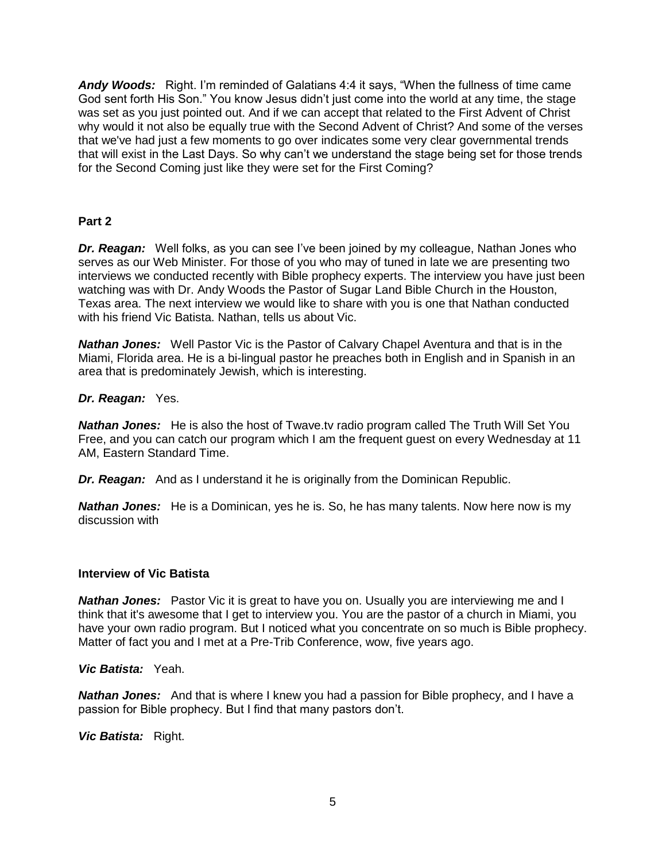*Andy Woods:* Right. I'm reminded of Galatians 4:4 it says, "When the fullness of time came God sent forth His Son." You know Jesus didn't just come into the world at any time, the stage was set as you just pointed out. And if we can accept that related to the First Advent of Christ why would it not also be equally true with the Second Advent of Christ? And some of the verses that we've had just a few moments to go over indicates some very clear governmental trends that will exist in the Last Days. So why can't we understand the stage being set for those trends for the Second Coming just like they were set for the First Coming?

## **Part 2**

*Dr. Reagan:* Well folks, as you can see I've been joined by my colleague, Nathan Jones who serves as our Web Minister. For those of you who may of tuned in late we are presenting two interviews we conducted recently with Bible prophecy experts. The interview you have just been watching was with Dr. Andy Woods the Pastor of Sugar Land Bible Church in the Houston, Texas area. The next interview we would like to share with you is one that Nathan conducted with his friend Vic Batista. Nathan, tells us about Vic.

*Nathan Jones:* Well Pastor Vic is the Pastor of Calvary Chapel Aventura and that is in the Miami, Florida area. He is a bi-lingual pastor he preaches both in English and in Spanish in an area that is predominately Jewish, which is interesting.

### *Dr. Reagan:* Yes.

*Nathan Jones:* He is also the host of Twave.tv radio program called The Truth Will Set You Free, and you can catch our program which I am the frequent guest on every Wednesday at 11 AM, Eastern Standard Time.

*Dr. Reagan:* And as I understand it he is originally from the Dominican Republic.

*Nathan Jones:* He is a Dominican, yes he is. So, he has many talents. Now here now is my discussion with

### **Interview of Vic Batista**

*Nathan Jones:* Pastor Vic it is great to have you on. Usually you are interviewing me and I think that it's awesome that I get to interview you. You are the pastor of a church in Miami, you have your own radio program. But I noticed what you concentrate on so much is Bible prophecy. Matter of fact you and I met at a Pre-Trib Conference, wow, five years ago.

*Vic Batista:* Yeah.

*Nathan Jones:* And that is where I knew you had a passion for Bible prophecy, and I have a passion for Bible prophecy. But I find that many pastors don't.

*Vic Batista:* Right.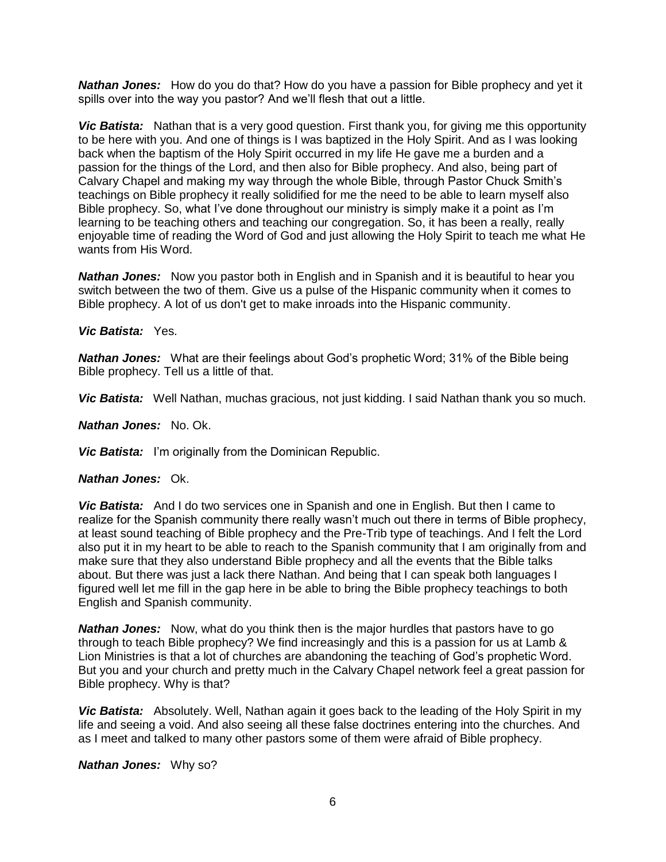*Nathan Jones:* How do you do that? How do you have a passion for Bible prophecy and yet it spills over into the way you pastor? And we'll flesh that out a little.

*Vic Batista:* Nathan that is a very good question. First thank you, for giving me this opportunity to be here with you. And one of things is I was baptized in the Holy Spirit. And as I was looking back when the baptism of the Holy Spirit occurred in my life He gave me a burden and a passion for the things of the Lord, and then also for Bible prophecy. And also, being part of Calvary Chapel and making my way through the whole Bible, through Pastor Chuck Smith's teachings on Bible prophecy it really solidified for me the need to be able to learn myself also Bible prophecy. So, what I've done throughout our ministry is simply make it a point as I'm learning to be teaching others and teaching our congregation. So, it has been a really, really enjoyable time of reading the Word of God and just allowing the Holy Spirit to teach me what He wants from His Word.

*Nathan Jones:* Now you pastor both in English and in Spanish and it is beautiful to hear you switch between the two of them. Give us a pulse of the Hispanic community when it comes to Bible prophecy. A lot of us don't get to make inroads into the Hispanic community.

### *Vic Batista:* Yes.

*Nathan Jones:* What are their feelings about God's prophetic Word; 31% of the Bible being Bible prophecy. Tell us a little of that.

*Vic Batista:* Well Nathan, muchas gracious, not just kidding. I said Nathan thank you so much.

*Nathan Jones:* No. Ok.

*Vic Batista:* I'm originally from the Dominican Republic.

#### *Nathan Jones:* Ok.

*Vic Batista:* And I do two services one in Spanish and one in English. But then I came to realize for the Spanish community there really wasn't much out there in terms of Bible prophecy, at least sound teaching of Bible prophecy and the Pre-Trib type of teachings. And I felt the Lord also put it in my heart to be able to reach to the Spanish community that I am originally from and make sure that they also understand Bible prophecy and all the events that the Bible talks about. But there was just a lack there Nathan. And being that I can speak both languages I figured well let me fill in the gap here in be able to bring the Bible prophecy teachings to both English and Spanish community.

*Nathan Jones:* Now, what do you think then is the major hurdles that pastors have to go through to teach Bible prophecy? We find increasingly and this is a passion for us at Lamb & Lion Ministries is that a lot of churches are abandoning the teaching of God's prophetic Word. But you and your church and pretty much in the Calvary Chapel network feel a great passion for Bible prophecy. Why is that?

*Vic Batista:* Absolutely. Well, Nathan again it goes back to the leading of the Holy Spirit in my life and seeing a void. And also seeing all these false doctrines entering into the churches. And as I meet and talked to many other pastors some of them were afraid of Bible prophecy.

*Nathan Jones:* Why so?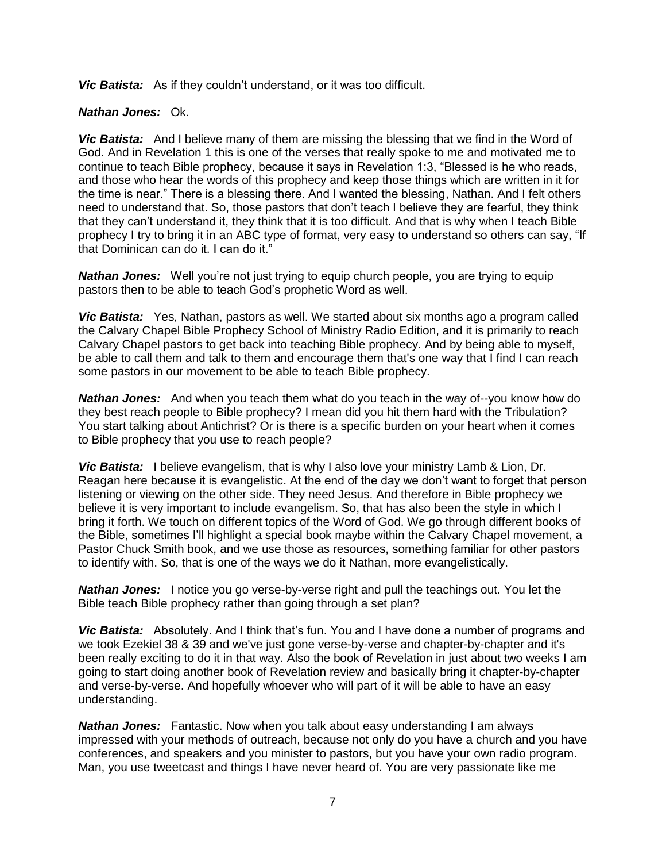*Vic Batista:* As if they couldn't understand, or it was too difficult.

## *Nathan Jones:* Ok.

*Vic Batista:* And I believe many of them are missing the blessing that we find in the Word of God. And in Revelation 1 this is one of the verses that really spoke to me and motivated me to continue to teach Bible prophecy, because it says in Revelation 1:3, "Blessed is he who reads, and those who hear the words of this prophecy and keep those things which are written in it for the time is near." There is a blessing there. And I wanted the blessing, Nathan. And I felt others need to understand that. So, those pastors that don't teach I believe they are fearful, they think that they can't understand it, they think that it is too difficult. And that is why when I teach Bible prophecy I try to bring it in an ABC type of format, very easy to understand so others can say, "If that Dominican can do it. I can do it."

*Nathan Jones:* Well you're not just trying to equip church people, you are trying to equip pastors then to be able to teach God's prophetic Word as well.

*Vic Batista:* Yes, Nathan, pastors as well. We started about six months ago a program called the Calvary Chapel Bible Prophecy School of Ministry Radio Edition, and it is primarily to reach Calvary Chapel pastors to get back into teaching Bible prophecy. And by being able to myself, be able to call them and talk to them and encourage them that's one way that I find I can reach some pastors in our movement to be able to teach Bible prophecy.

*Nathan Jones:* And when you teach them what do you teach in the way of--you know how do they best reach people to Bible prophecy? I mean did you hit them hard with the Tribulation? You start talking about Antichrist? Or is there is a specific burden on your heart when it comes to Bible prophecy that you use to reach people?

*Vic Batista:* I believe evangelism, that is why I also love your ministry Lamb & Lion, Dr. Reagan here because it is evangelistic. At the end of the day we don't want to forget that person listening or viewing on the other side. They need Jesus. And therefore in Bible prophecy we believe it is very important to include evangelism. So, that has also been the style in which I bring it forth. We touch on different topics of the Word of God. We go through different books of the Bible, sometimes I'll highlight a special book maybe within the Calvary Chapel movement, a Pastor Chuck Smith book, and we use those as resources, something familiar for other pastors to identify with. So, that is one of the ways we do it Nathan, more evangelistically.

**Nathan Jones:** I notice you go verse-by-verse right and pull the teachings out. You let the Bible teach Bible prophecy rather than going through a set plan?

*Vic Batista:* Absolutely. And I think that's fun. You and I have done a number of programs and we took Ezekiel 38 & 39 and we've just gone verse-by-verse and chapter-by-chapter and it's been really exciting to do it in that way. Also the book of Revelation in just about two weeks I am going to start doing another book of Revelation review and basically bring it chapter-by-chapter and verse-by-verse. And hopefully whoever who will part of it will be able to have an easy understanding.

*Nathan Jones:* Fantastic. Now when you talk about easy understanding I am always impressed with your methods of outreach, because not only do you have a church and you have conferences, and speakers and you minister to pastors, but you have your own radio program. Man, you use tweetcast and things I have never heard of. You are very passionate like me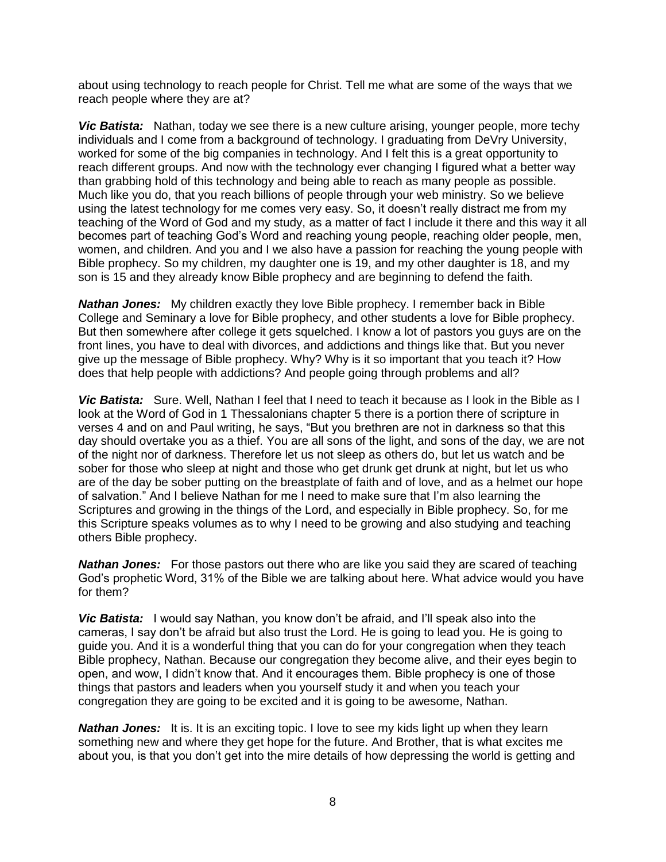about using technology to reach people for Christ. Tell me what are some of the ways that we reach people where they are at?

*Vic Batista:* Nathan, today we see there is a new culture arising, younger people, more techy individuals and I come from a background of technology. I graduating from DeVry University, worked for some of the big companies in technology. And I felt this is a great opportunity to reach different groups. And now with the technology ever changing I figured what a better way than grabbing hold of this technology and being able to reach as many people as possible. Much like you do, that you reach billions of people through your web ministry. So we believe using the latest technology for me comes very easy. So, it doesn't really distract me from my teaching of the Word of God and my study, as a matter of fact I include it there and this way it all becomes part of teaching God's Word and reaching young people, reaching older people, men, women, and children. And you and I we also have a passion for reaching the young people with Bible prophecy. So my children, my daughter one is 19, and my other daughter is 18, and my son is 15 and they already know Bible prophecy and are beginning to defend the faith.

*Nathan Jones:* My children exactly they love Bible prophecy. I remember back in Bible College and Seminary a love for Bible prophecy, and other students a love for Bible prophecy. But then somewhere after college it gets squelched. I know a lot of pastors you guys are on the front lines, you have to deal with divorces, and addictions and things like that. But you never give up the message of Bible prophecy. Why? Why is it so important that you teach it? How does that help people with addictions? And people going through problems and all?

*Vic Batista:* Sure. Well, Nathan I feel that I need to teach it because as I look in the Bible as I look at the Word of God in 1 Thessalonians chapter 5 there is a portion there of scripture in verses 4 and on and Paul writing, he says, "But you brethren are not in darkness so that this day should overtake you as a thief. You are all sons of the light, and sons of the day, we are not of the night nor of darkness. Therefore let us not sleep as others do, but let us watch and be sober for those who sleep at night and those who get drunk get drunk at night, but let us who are of the day be sober putting on the breastplate of faith and of love, and as a helmet our hope of salvation." And I believe Nathan for me I need to make sure that I'm also learning the Scriptures and growing in the things of the Lord, and especially in Bible prophecy. So, for me this Scripture speaks volumes as to why I need to be growing and also studying and teaching others Bible prophecy.

**Nathan Jones:** For those pastors out there who are like you said they are scared of teaching God's prophetic Word, 31% of the Bible we are talking about here. What advice would you have for them?

*Vic Batista:* I would say Nathan, you know don't be afraid, and I'll speak also into the cameras, I say don't be afraid but also trust the Lord. He is going to lead you. He is going to guide you. And it is a wonderful thing that you can do for your congregation when they teach Bible prophecy, Nathan. Because our congregation they become alive, and their eyes begin to open, and wow, I didn't know that. And it encourages them. Bible prophecy is one of those things that pastors and leaders when you yourself study it and when you teach your congregation they are going to be excited and it is going to be awesome, Nathan.

**Nathan Jones:** It is. It is an exciting topic. I love to see my kids light up when they learn something new and where they get hope for the future. And Brother, that is what excites me about you, is that you don't get into the mire details of how depressing the world is getting and